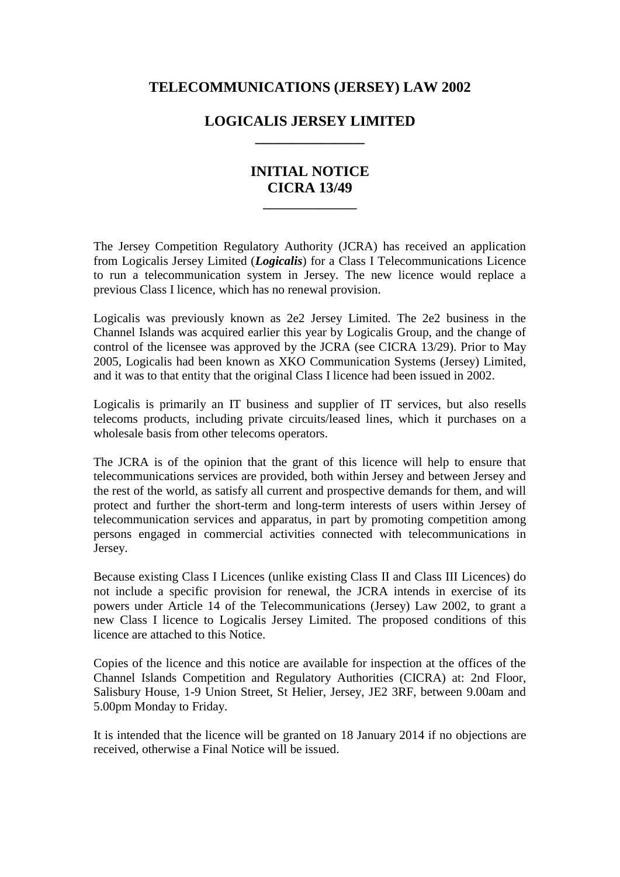## **TELECOMMUNICATIONS (JERSEY) LAW 2002**

## **LOGICALIS JERSEY LIMITED \_\_\_\_\_\_\_\_\_\_\_\_\_\_\_**

## **INITIAL NOTICE CICRA 13/49**

**\_\_\_\_\_\_\_\_\_\_\_\_\_\_\_**

The Jersey Competition Regulatory Authority (JCRA) has received an application from Logicalis Jersey Limited (*Logicalis*) for a Class I Telecommunications Licence to run a telecommunication system in Jersey. The new licence would replace a previous Class I licence, which has no renewal provision.

Logicalis was previously known as 2e2 Jersey Limited. The 2e2 business in the Channel Islands was acquired earlier this year by Logicalis Group, and the change of control of the licensee was approved by the JCRA (see CICRA 13/29). Prior to May 2005, Logicalis had been known as XKO Communication Systems (Jersey) Limited, and it was to that entity that the original Class I licence had been issued in 2002.

Logicalis is primarily an IT business and supplier of IT services, but also resells telecoms products, including private circuits/leased lines, which it purchases on a wholesale basis from other telecoms operators.

The JCRA is of the opinion that the grant of this licence will help to ensure that telecommunications services are provided, both within Jersey and between Jersey and the rest of the world, as satisfy all current and prospective demands for them, and will protect and further the short-term and long-term interests of users within Jersey of telecommunication services and apparatus, in part by promoting competition among persons engaged in commercial activities connected with telecommunications in Jersey.

Because existing Class I Licences (unlike existing Class II and Class III Licences) do not include a specific provision for renewal, the JCRA intends in exercise of its powers under Article 14 of the Telecommunications (Jersey) Law 2002, to grant a new Class I licence to Logicalis Jersey Limited. The proposed conditions of this licence are attached to this Notice.

Copies of the licence and this notice are available for inspection at the offices of the Channel Islands Competition and Regulatory Authorities (CICRA) at: 2nd Floor, Salisbury House, 1-9 Union Street, St Helier, Jersey, JE2 3RF, between 9.00am and 5.00pm Monday to Friday.

It is intended that the licence will be granted on 18 January 2014 if no objections are received, otherwise a Final Notice will be issued.